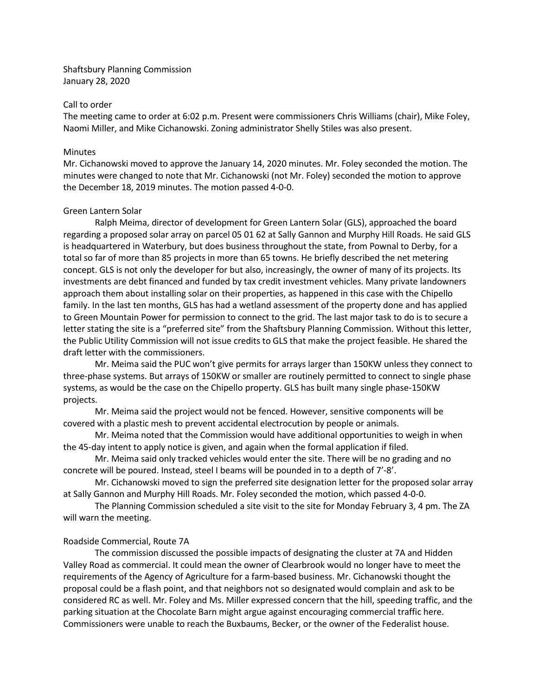Shaftsbury Planning Commission January 28, 2020

## Call to order

The meeting came to order at 6:02 p.m. Present were commissioners Chris Williams (chair), Mike Foley, Naomi Miller, and Mike Cichanowski. Zoning administrator Shelly Stiles was also present.

## **Minutes**

Mr. Cichanowski moved to approve the January 14, 2020 minutes. Mr. Foley seconded the motion. The minutes were changed to note that Mr. Cichanowski (not Mr. Foley) seconded the motion to approve the December 18, 2019 minutes. The motion passed 4-0-0.

## Green Lantern Solar

Ralph Meima, director of development for Green Lantern Solar (GLS), approached the board regarding a proposed solar array on parcel 05 01 62 at Sally Gannon and Murphy Hill Roads. He said GLS is headquartered in Waterbury, but does business throughout the state, from Pownal to Derby, for a total so far of more than 85 projects in more than 65 towns. He briefly described the net metering concept. GLS is not only the developer for but also, increasingly, the owner of many of its projects. Its investments are debt financed and funded by tax credit investment vehicles. Many private landowners approach them about installing solar on their properties, as happened in this case with the Chipello family. In the last ten months, GLS has had a wetland assessment of the property done and has applied to Green Mountain Power for permission to connect to the grid. The last major task to do is to secure a letter stating the site is a "preferred site" from the Shaftsbury Planning Commission. Without this letter, the Public Utility Commission will not issue credits to GLS that make the project feasible. He shared the draft letter with the commissioners.

Mr. Meima said the PUC won't give permits for arrays larger than 150KW unless they connect to three-phase systems. But arrays of 150KW or smaller are routinely permitted to connect to single phase systems, as would be the case on the Chipello property. GLS has built many single phase-150KW projects.

Mr. Meima said the project would not be fenced. However, sensitive components will be covered with a plastic mesh to prevent accidental electrocution by people or animals.

Mr. Meima noted that the Commission would have additional opportunities to weigh in when the 45-day intent to apply notice is given, and again when the formal application if filed.

Mr. Meima said only tracked vehicles would enter the site. There will be no grading and no concrete will be poured. Instead, steel I beams will be pounded in to a depth of 7'-8'.

Mr. Cichanowski moved to sign the preferred site designation letter for the proposed solar array at Sally Gannon and Murphy Hill Roads. Mr. Foley seconded the motion, which passed 4-0-0.

The Planning Commission scheduled a site visit to the site for Monday February 3, 4 pm. The ZA will warn the meeting.

## Roadside Commercial, Route 7A

The commission discussed the possible impacts of designating the cluster at 7A and Hidden Valley Road as commercial. It could mean the owner of Clearbrook would no longer have to meet the requirements of the Agency of Agriculture for a farm-based business. Mr. Cichanowski thought the proposal could be a flash point, and that neighbors not so designated would complain and ask to be considered RC as well. Mr. Foley and Ms. Miller expressed concern that the hill, speeding traffic, and the parking situation at the Chocolate Barn might argue against encouraging commercial traffic here. Commissioners were unable to reach the Buxbaums, Becker, or the owner of the Federalist house.